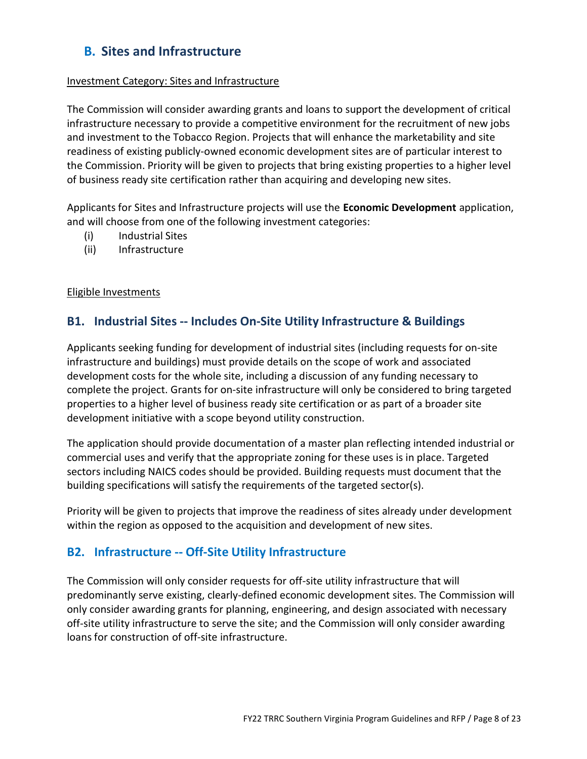# B. Sites and Infrastructure

#### Investment Category: Sites and Infrastructure

The Commission will consider awarding grants and loans to support the development of critical infrastructure necessary to provide a competitive environment for the recruitment of new jobs and investment to the Tobacco Region. Projects that will enhance the marketability and site readiness of existing publicly-owned economic development sites are of particular interest to the Commission. Priority will be given to projects that bring existing properties to a higher level of business ready site certification rather than acquiring and developing new sites.

Applicants for Sites and Infrastructure projects will use the **Economic Development** application, and will choose from one of the following investment categories:

- (i) Industrial Sites
- (ii) Infrastructure

### Eligible Investments

## B1. Industrial Sites -- Includes On-Site Utility Infrastructure & Buildings

Applicants seeking funding for development of industrial sites (including requests for on-site infrastructure and buildings) must provide details on the scope of work and associated development costs for the whole site, including a discussion of any funding necessary to complete the project. Grants for on-site infrastructure will only be considered to bring targeted properties to a higher level of business ready site certification or as part of a broader site development initiative with a scope beyond utility construction.

The application should provide documentation of a master plan reflecting intended industrial or commercial uses and verify that the appropriate zoning for these uses is in place. Targeted sectors including NAICS codes should be provided. Building requests must document that the building specifications will satisfy the requirements of the targeted sector(s).

Priority will be given to projects that improve the readiness of sites already under development within the region as opposed to the acquisition and development of new sites.

# B2. Infrastructure -- Off-Site Utility Infrastructure

The Commission will only consider requests for off-site utility infrastructure that will predominantly serve existing, clearly-defined economic development sites. The Commission will only consider awarding grants for planning, engineering, and design associated with necessary off-site utility infrastructure to serve the site; and the Commission will only consider awarding loans for construction of off-site infrastructure.